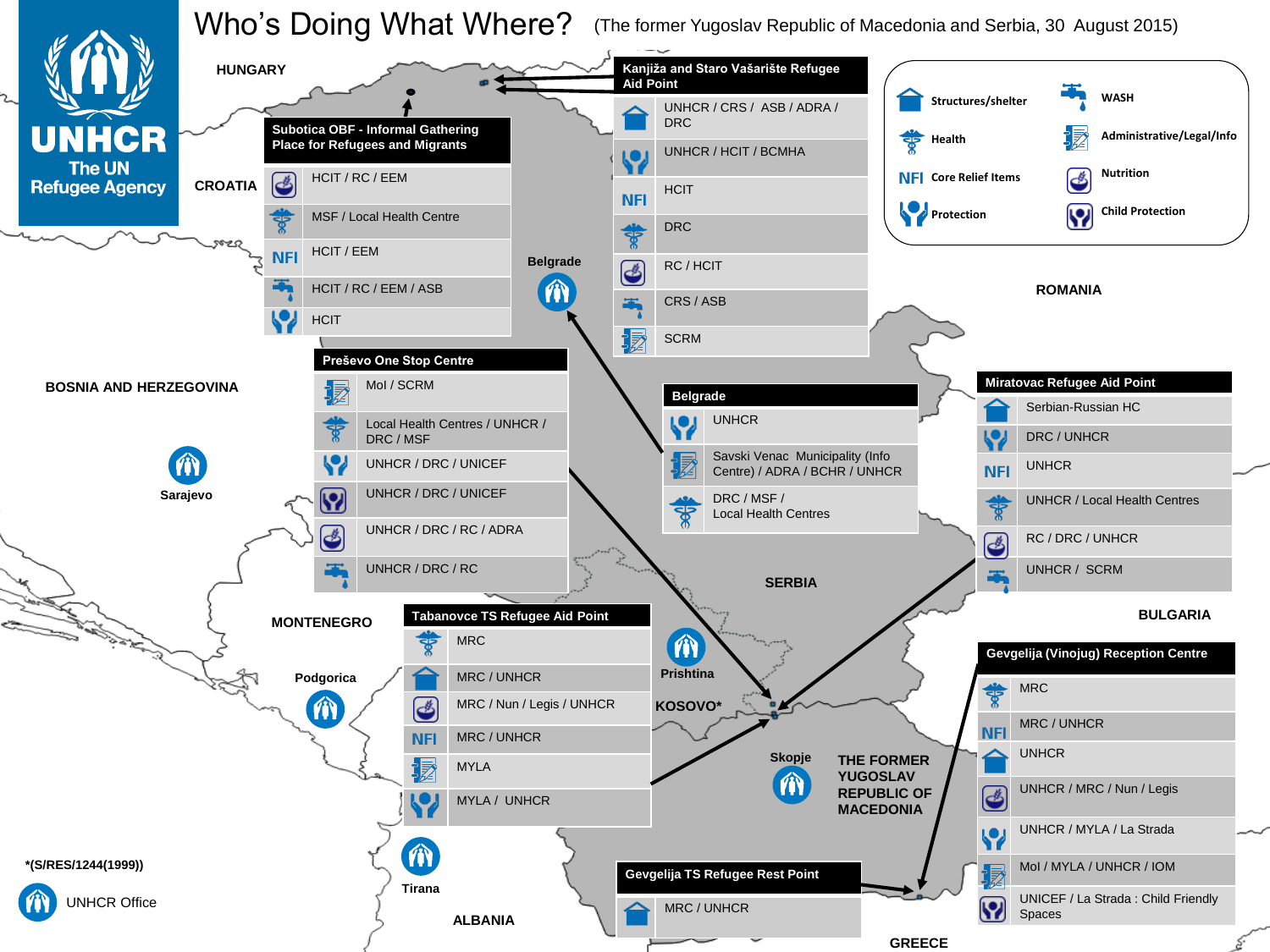